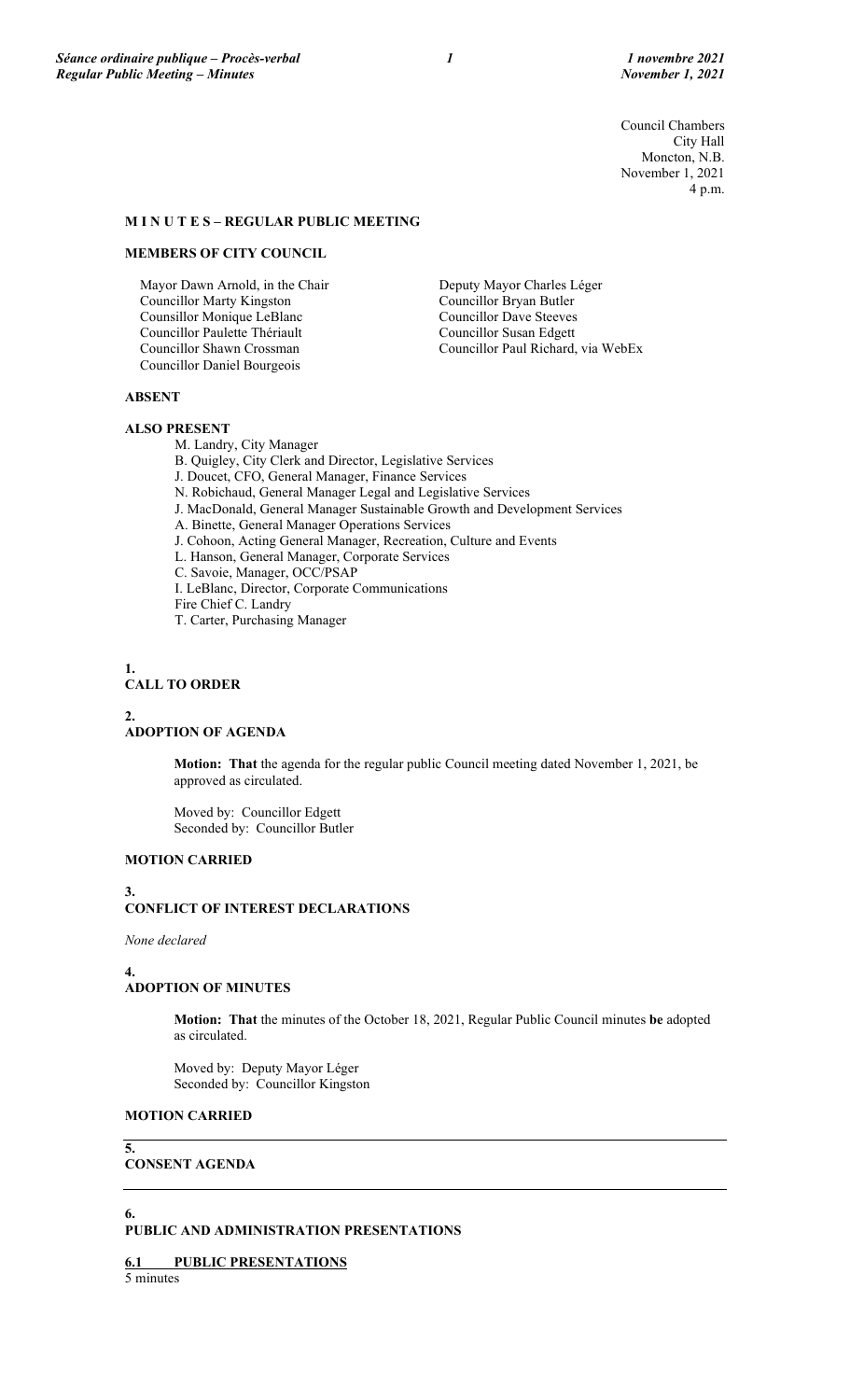Council Chambers City Hall Moncton, N.B. November 1, 2021 4 p.m.

## **M I N U T E S – REGULAR PUBLIC MEETING**

### **MEMBERS OF CITY COUNCIL**

Mayor Dawn Arnold, in the Chair Councillor Marty Kingston Counsillor Monique LeBlanc Councillor Paulette Thériault Councillor Shawn Crossman Councillor Daniel Bourgeois

Deputy Mayor Charles Léger Councillor Bryan Butler Councillor Dave Steeves Councillor Susan Edgett Councillor Paul Richard, via WebEx

### **ABSENT**

#### **ALSO PRESENT**

M. Landry, City Manager

B. Quigley, City Clerk and Director, Legislative Services

- J. Doucet, CFO, General Manager, Finance Services
- N. Robichaud, General Manager Legal and Legislative Services
- J. MacDonald, General Manager Sustainable Growth and Development Services
- A. Binette, General Manager Operations Services
- J. Cohoon, Acting General Manager, Recreation, Culture and Events
- L. Hanson, General Manager, Corporate Services
- C. Savoie, Manager, OCC/PSAP
- I. LeBlanc, Director, Corporate Communications
- Fire Chief C. Landry
- T. Carter, Purchasing Manager

**1. CALL TO ORDER**

### **2. ADOPTION OF AGENDA**

**Motion: That** the agenda for the regular public Council meeting dated November 1, 2021, be approved as circulated.

Moved by: Councillor Edgett Seconded by: Councillor Butler

### **MOTION CARRIED**

#### **3. CONFLICT OF INTEREST DECLARATIONS**

*None declared*

#### **4. ADOPTION OF MINUTES**

**Motion: That** the minutes of the October 18, 2021, Regular Public Council minutes **be** adopted as circulated.

Moved by: Deputy Mayor Léger Seconded by: Councillor Kingston

## **MOTION CARRIED**

**5.**

**6.**

### **CONSENT AGENDA**

## **PUBLIC AND ADMINISTRATION PRESENTATIONS**

**6.1 PUBLIC PRESENTATIONS**

5 minutes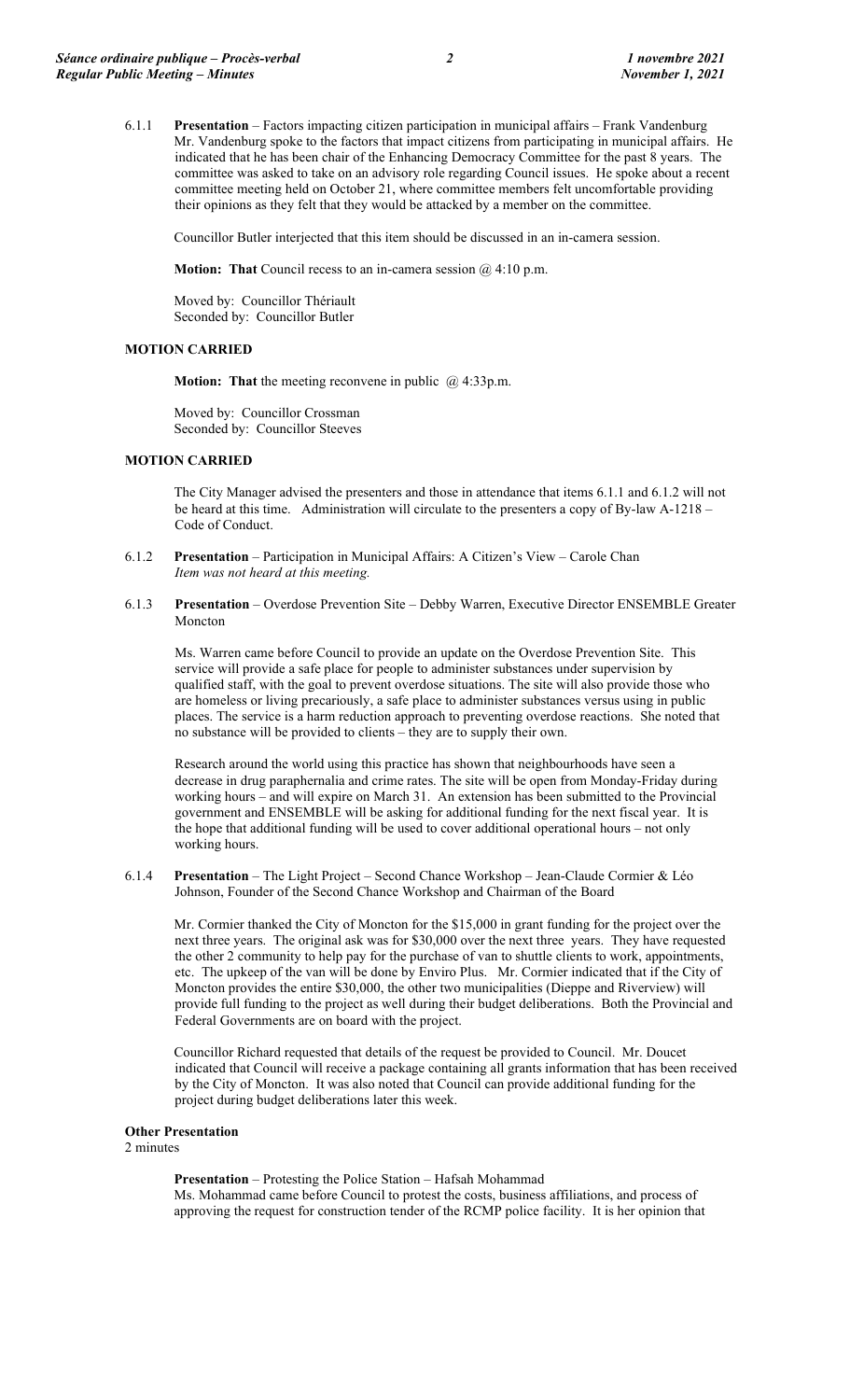6.1.1 **Presentation** – Factors impacting citizen participation in municipal affairs – Frank Vandenburg Mr. Vandenburg spoke to the factors that impact citizens from participating in municipal affairs. He indicated that he has been chair of the Enhancing Democracy Committee for the past 8 years. The committee was asked to take on an advisory role regarding Council issues. He spoke about a recent committee meeting held on October 21, where committee members felt uncomfortable providing their opinions as they felt that they would be attacked by a member on the committee.

Councillor Butler interjected that this item should be discussed in an in-camera session.

**Motion: That** Council recess to an in-camera session @ 4:10 p.m.

Moved by: Councillor Thériault Seconded by: Councillor Butler

#### **MOTION CARRIED**

**Motion: That** the meeting reconvene in public @ 4:33p.m.

Moved by: Councillor Crossman Seconded by: Councillor Steeves

### **MOTION CARRIED**

The City Manager advised the presenters and those in attendance that items 6.1.1 and 6.1.2 will not be heard at this time. Administration will circulate to the presenters a copy of By-law A-1218 – Code of Conduct.

- 6.1.2 **Presentation** Participation in Municipal Affairs: A Citizen's View Carole Chan *Item was not heard at this meeting.*
- 6.1.3 **Presentation** Overdose Prevention Site Debby Warren, Executive Director ENSEMBLE Greater Moncton

Ms. Warren came before Council to provide an update on the Overdose Prevention Site. This service will provide a safe place for people to administer substances under supervision by qualified staff, with the goal to prevent overdose situations. The site will also provide those who are homeless or living precariously, a safe place to administer substances versus using in public places. The service is a harm reduction approach to preventing overdose reactions. She noted that no substance will be provided to clients – they are to supply their own.

Research around the world using this practice has shown that neighbourhoods have seen a decrease in drug paraphernalia and crime rates. The site will be open from Monday-Friday during working hours – and will expire on March 31. An extension has been submitted to the Provincial government and ENSEMBLE will be asking for additional funding for the next fiscal year. It is the hope that additional funding will be used to cover additional operational hours – not only working hours.

6.1.4 **Presentation** – The Light Project – Second Chance Workshop – Jean-Claude Cormier & Léo Johnson, Founder of the Second Chance Workshop and Chairman of the Board

Mr. Cormier thanked the City of Moncton for the \$15,000 in grant funding for the project over the next three years. The original ask was for \$30,000 over the next three years. They have requested the other 2 community to help pay for the purchase of van to shuttle clients to work, appointments, etc. The upkeep of the van will be done by Enviro Plus. Mr. Cormier indicated that if the City of Moncton provides the entire \$30,000, the other two municipalities (Dieppe and Riverview) will provide full funding to the project as well during their budget deliberations. Both the Provincial and Federal Governments are on board with the project.

Councillor Richard requested that details of the request be provided to Council. Mr. Doucet indicated that Council will receive a package containing all grants information that has been received by the City of Moncton. It was also noted that Council can provide additional funding for the project during budget deliberations later this week.

## **Other Presentation**

2 minutes

**Presentation** – Protesting the Police Station – Hafsah Mohammad Ms. Mohammad came before Council to protest the costs, business affiliations, and process of approving the request for construction tender of the RCMP police facility. It is her opinion that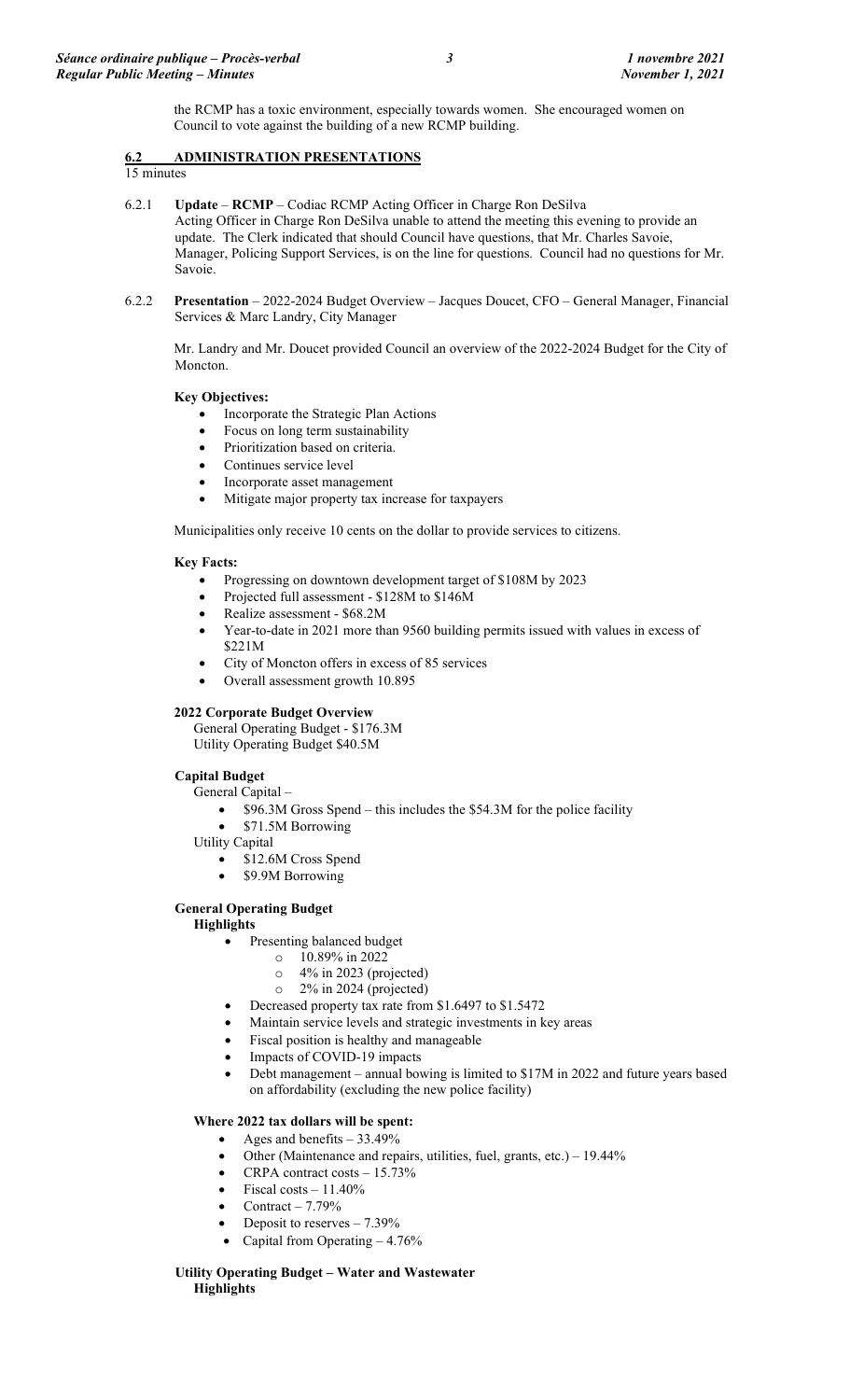the RCMP has a toxic environment, especially towards women. She encouraged women on Council to vote against the building of a new RCMP building.

## **6.2 ADMINISTRATION PRESENTATIONS**

15 minutes

- 6.2.1 **Update RCMP** Codiac RCMP Acting Officer in Charge Ron DeSilva Acting Officer in Charge Ron DeSilva unable to attend the meeting this evening to provide an update. The Clerk indicated that should Council have questions, that Mr. Charles Savoie, Manager, Policing Support Services, is on the line for questions. Council had no questions for Mr. Savoie.
- 6.2.2 **Presentation** 2022-2024 Budget Overview Jacques Doucet, CFO General Manager, Financial Services & Marc Landry, City Manager

Mr. Landry and Mr. Doucet provided Council an overview of the 2022-2024 Budget for the City of Moncton.

## **Key Objectives:**

- Incorporate the Strategic Plan Actions
- Focus on long term sustainability
- Prioritization based on criteria.
- Continues service level
- Incorporate asset management
- Mitigate major property tax increase for taxpayers

Municipalities only receive 10 cents on the dollar to provide services to citizens.

### **Key Facts:**

- Progressing on downtown development target of \$108M by 2023
- Projected full assessment \$128M to \$146M
- Realize assessment \$68.2M
- Year-to-date in 2021 more than 9560 building permits issued with values in excess of \$221M
- City of Moncton offers in excess of 85 services
- Overall assessment growth 10.895

#### **2022 Corporate Budget Overview**

General Operating Budget - \$176.3M Utility Operating Budget \$40.5M

## **Capital Budget**

General Capital –

- \$96.3M Gross Spend this includes the \$54.3M for the police facility
- \$71.5M Borrowing
- Utility Capital
	- \$12.6M Cross Spend
	- \$9.9M Borrowing

## **General Operating Budget**

**Highlights**

- Presenting balanced budget
	- $\circ$  10.89% in 2022
	- o 4% in 2023 (projected)
	- o 2% in 2024 (projected)
- Decreased property tax rate from \$1.6497 to \$1.5472
- Maintain service levels and strategic investments in key areas
- Fiscal position is healthy and manageable
- Impacts of COVID-19 impacts
- Debt management annual bowing is limited to \$17M in 2022 and future years based on affordability (excluding the new police facility)

## **Where 2022 tax dollars will be spent:**

- Ages and benefits 33.49%
- Other (Maintenance and repairs, utilities, fuel, grants, etc.) 19.44%
- CRPA contract costs  $-15.73\%$
- Fiscal costs  $-11.40\%$
- Contract  $-7.79%$
- Deposit to reserves  $-7.39\%$
- Capital from Operating 4.76%

#### **Utility Operating Budget – Water and Wastewater Highlights**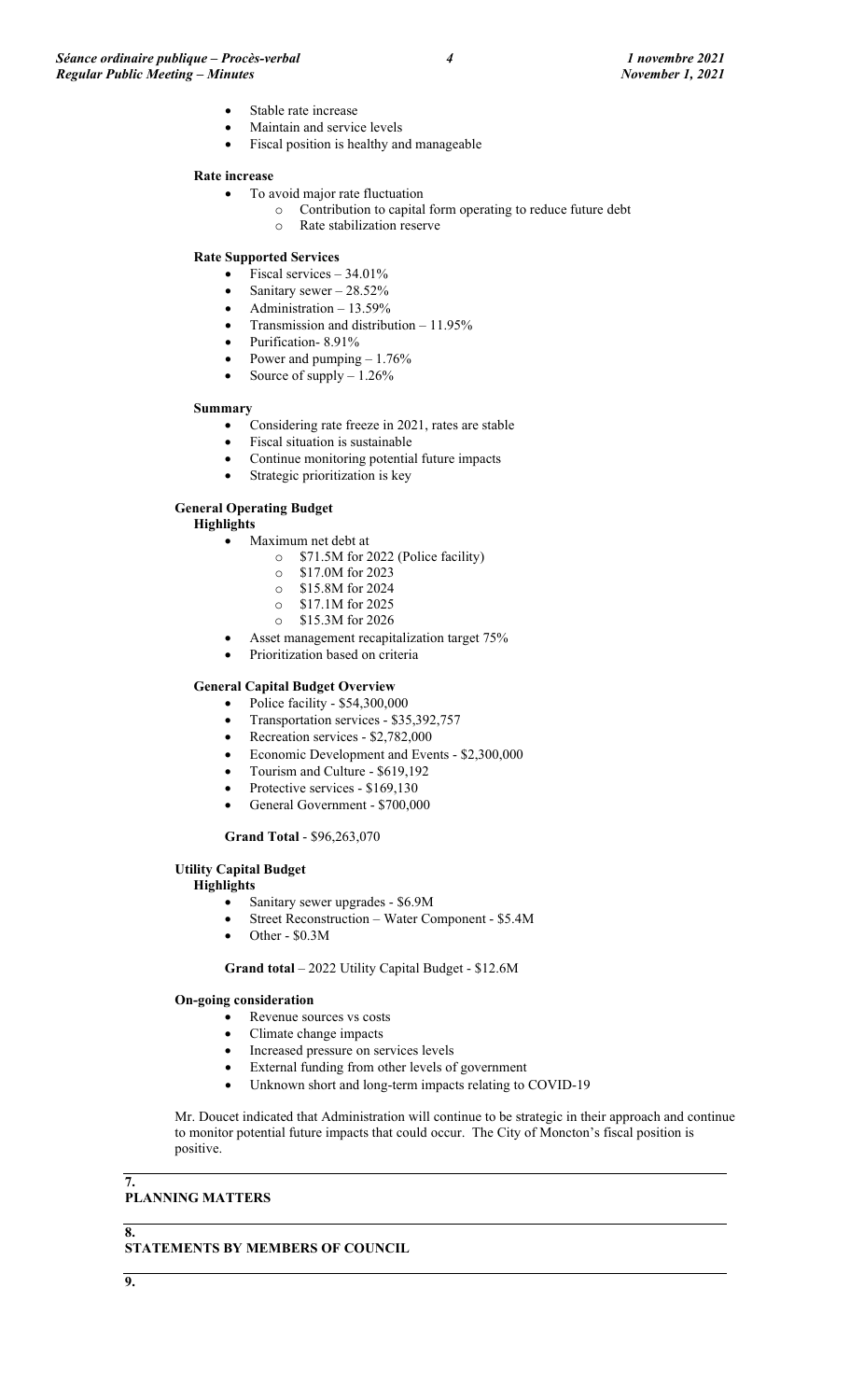- Stable rate increase
- Maintain and service levels
- Fiscal position is healthy and manageable

#### **Rate increase**

- To avoid major rate fluctuation
	- o Contribution to capital form operating to reduce future debt
		- o Rate stabilization reserve

#### **Rate Supported Services**

- Fiscal services  $-34.01\%$
- Sanitary sewer 28.52%
- Administration 13.59%
- Transmission and distribution 11.95%
- Purification- 8.91%
- Power and pumping  $-1.76%$
- Source of supply  $-1.26\%$

#### **Summary**

- Considering rate freeze in 2021, rates are stable
- Fiscal situation is sustainable
- Continue monitoring potential future impacts
- Strategic prioritization is key

### **General Operating Budget**

#### **Highlights**

- Maximum net debt at
	- o \$71.5M for 2022 (Police facility)
	- o \$17.0M for 2023
	- $\circ$  \$15.8M for 2024<br> $\circ$  \$17.1M for 2025
	- $\frac{\text{S17.1M}}{\text{O}}$  \$15.3M for 2026
	- \$15.3M for 2026
	- Asset management recapitalization target 75%
- Prioritization based on criteria

## **General Capital Budget Overview**

- Police facility \$54,300,000
- Transportation services \$35,392,757
- Recreation services \$2,782,000
- Economic Development and Events \$2,300,000
- Tourism and Culture \$619,192
- Protective services \$169,130
- General Government \$700,000

#### **Grand Total** - \$96,263,070

#### **Utility Capital Budget**

#### **Highlights**

- Sanitary sewer upgrades \$6.9M
- Street Reconstruction Water Component \$5.4M
- Other \$0.3M

**Grand total** – 2022 Utility Capital Budget - \$12.6M

#### **On-going consideration**

- Revenue sources vs costs
- Climate change impacts
- Increased pressure on services levels
- External funding from other levels of government
- Unknown short and long-term impacts relating to COVID-19

Mr. Doucet indicated that Administration will continue to be strategic in their approach and continue to monitor potential future impacts that could occur. The City of Moncton's fiscal position is positive.

### **7.**

## **PLANNING MATTERS**

**8.**

**STATEMENTS BY MEMBERS OF COUNCIL**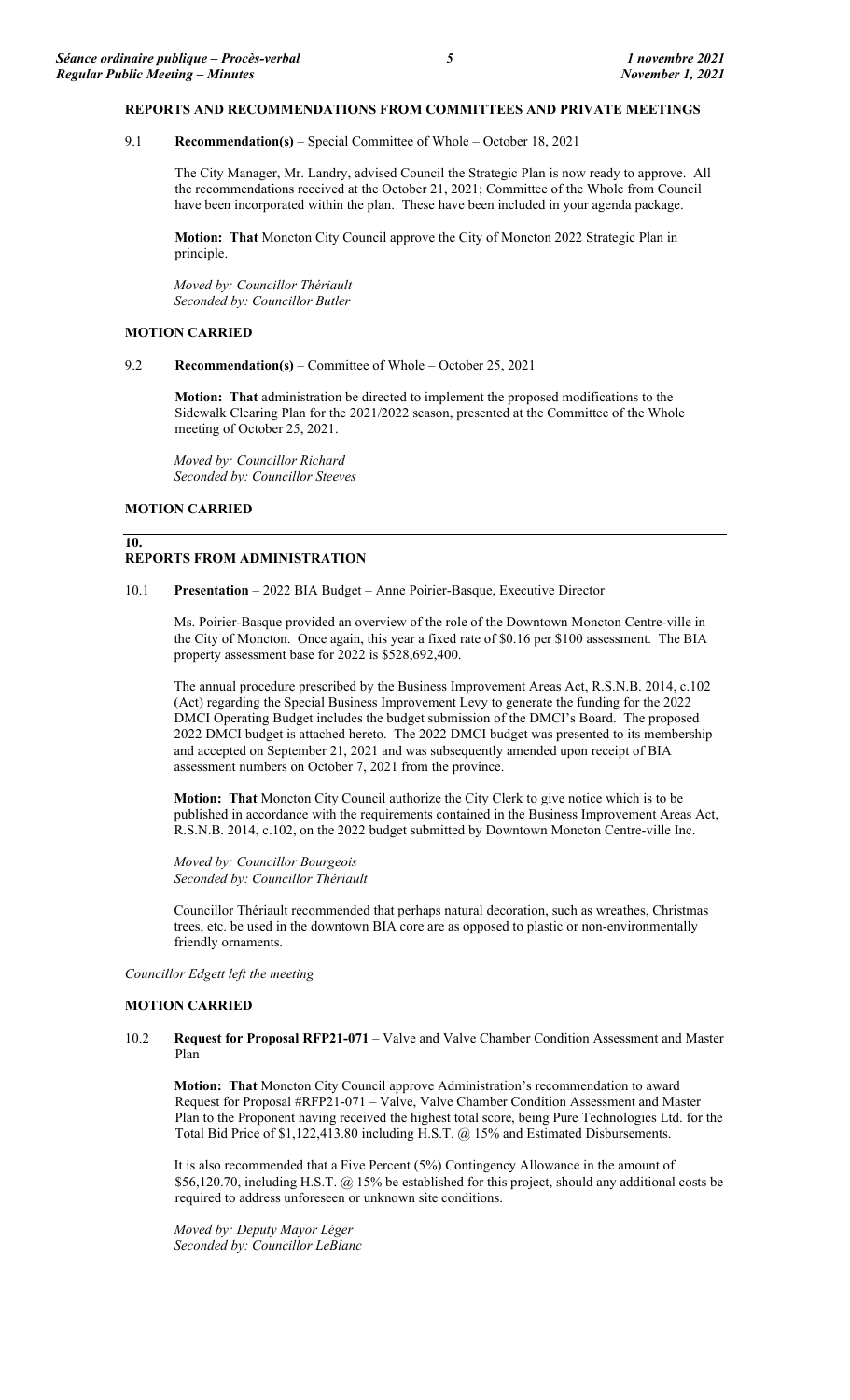#### **REPORTS AND RECOMMENDATIONS FROM COMMITTEES AND PRIVATE MEETINGS**

9.1 **Recommendation(s)** – Special Committee of Whole – October 18, 2021

The City Manager, Mr. Landry, advised Council the Strategic Plan is now ready to approve. All the recommendations received at the October 21, 2021; Committee of the Whole from Council have been incorporated within the plan. These have been included in your agenda package.

**Motion: That** Moncton City Council approve the City of Moncton 2022 Strategic Plan in principle.

*Moved by: Councillor Thériault Seconded by: Councillor Butler*

#### **MOTION CARRIED**

9.2 **Recommendation(s)** – Committee of Whole – October 25, 2021

**Motion: That** administration be directed to implement the proposed modifications to the Sidewalk Clearing Plan for the 2021/2022 season, presented at the Committee of the Whole meeting of October 25, 2021.

*Moved by: Councillor Richard Seconded by: Councillor Steeves*

### **MOTION CARRIED**

#### **10. REPORTS FROM ADMINISTRATION**

10.1 **Presentation** – 2022 BIA Budget – Anne Poirier-Basque, Executive Director

Ms. Poirier-Basque provided an overview of the role of the Downtown Moncton Centre-ville in the City of Moncton. Once again, this year a fixed rate of \$0.16 per \$100 assessment. The BIA property assessment base for 2022 is \$528,692,400.

The annual procedure prescribed by the Business Improvement Areas Act, R.S.N.B. 2014, c.102 (Act) regarding the Special Business Improvement Levy to generate the funding for the 2022 DMCI Operating Budget includes the budget submission of the DMCI's Board. The proposed 2022 DMCI budget is attached hereto. The 2022 DMCI budget was presented to its membership and accepted on September 21, 2021 and was subsequently amended upon receipt of BIA assessment numbers on October 7, 2021 from the province.

**Motion: That** Moncton City Council authorize the City Clerk to give notice which is to be published in accordance with the requirements contained in the Business Improvement Areas Act, R.S.N.B. 2014, c.102, on the 2022 budget submitted by Downtown Moncton Centre-ville Inc.

*Moved by: Councillor Bourgeois Seconded by: Councillor Thériault*

Councillor Thériault recommended that perhaps natural decoration, such as wreathes, Christmas trees, etc. be used in the downtown BIA core are as opposed to plastic or non-environmentally friendly ornaments.

*Councillor Edgett left the meeting* 

### **MOTION CARRIED**

### 10.2 **Request for Proposal RFP21-071** – Valve and Valve Chamber Condition Assessment and Master Plan

**Motion: That** Moncton City Council approve Administration's recommendation to award Request for Proposal #RFP21-071 – Valve, Valve Chamber Condition Assessment and Master Plan to the Proponent having received the highest total score, being Pure Technologies Ltd. for the Total Bid Price of \$1,122,413.80 including H.S.T. @ 15% and Estimated Disbursements.

It is also recommended that a Five Percent (5%) Contingency Allowance in the amount of \$56,120.70, including H.S.T. @ 15% be established for this project, should any additional costs be required to address unforeseen or unknown site conditions.

*Moved by: Deputy Mayor Léger Seconded by: Councillor LeBlanc*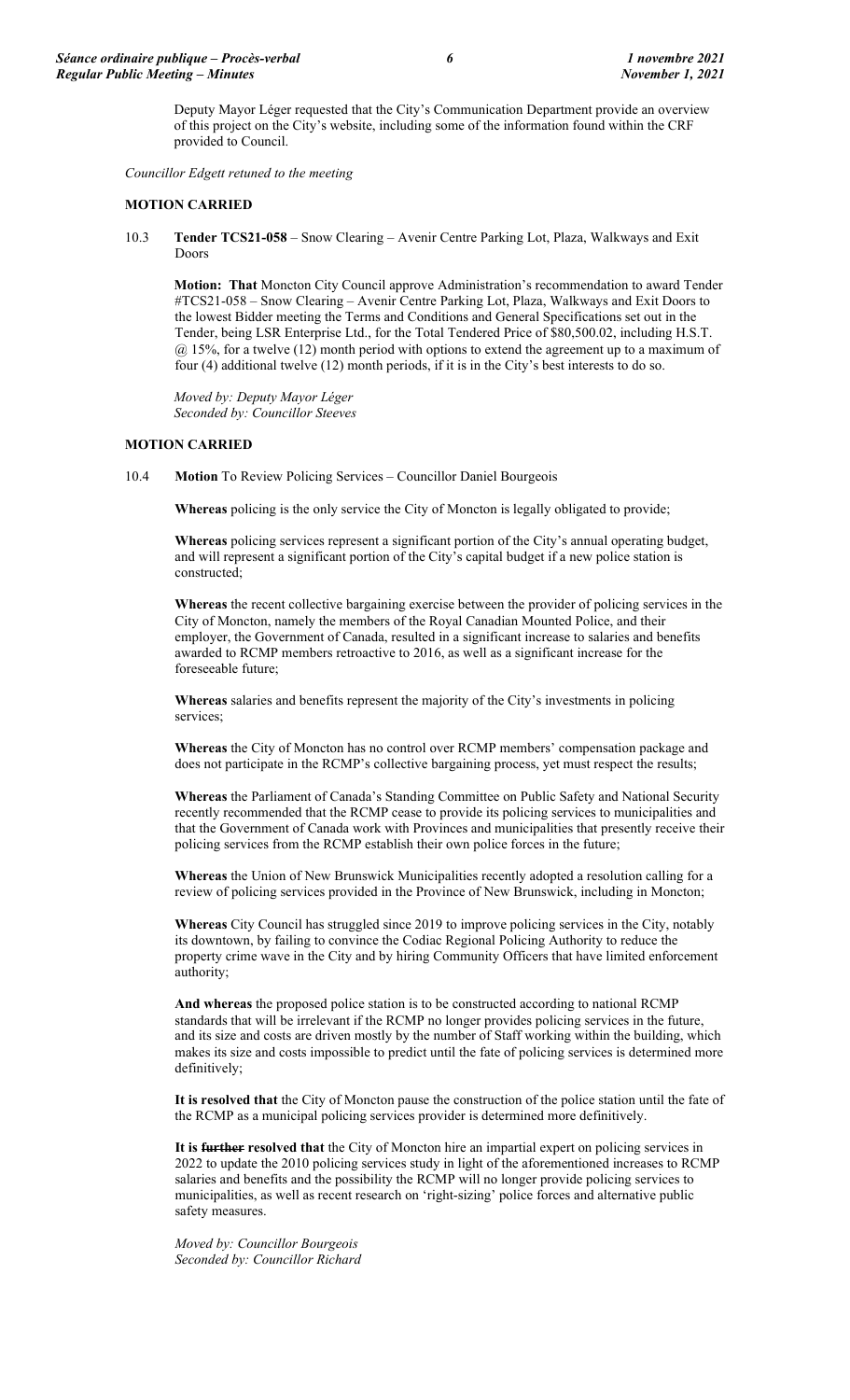Deputy Mayor Léger requested that the City's Communication Department provide an overview of this project on the City's website, including some of the information found within the CRF provided to Council.

*Councillor Edgett retuned to the meeting*

#### **MOTION CARRIED**

10.3 **Tender TCS21-058** – Snow Clearing – Avenir Centre Parking Lot, Plaza, Walkways and Exit Doors

**Motion: That** Moncton City Council approve Administration's recommendation to award Tender #TCS21-058 – Snow Clearing – Avenir Centre Parking Lot, Plaza, Walkways and Exit Doors to the lowest Bidder meeting the Terms and Conditions and General Specifications set out in the Tender, being LSR Enterprise Ltd., for the Total Tendered Price of \$80,500.02, including H.S.T. @ 15%, for a twelve (12) month period with options to extend the agreement up to a maximum of four (4) additional twelve (12) month periods, if it is in the City's best interests to do so.

*Moved by: Deputy Mayor Léger Seconded by: Councillor Steeves*

#### **MOTION CARRIED**

10.4 **Motion** To Review Policing Services – Councillor Daniel Bourgeois

**Whereas** policing is the only service the City of Moncton is legally obligated to provide;

**Whereas** policing services represent a significant portion of the City's annual operating budget, and will represent a significant portion of the City's capital budget if a new police station is constructed;

**Whereas** the recent collective bargaining exercise between the provider of policing services in the City of Moncton, namely the members of the Royal Canadian Mounted Police, and their employer, the Government of Canada, resulted in a significant increase to salaries and benefits awarded to RCMP members retroactive to 2016, as well as a significant increase for the foreseeable future;

**Whereas** salaries and benefits represent the majority of the City's investments in policing services;

**Whereas** the City of Moncton has no control over RCMP members' compensation package and does not participate in the RCMP's collective bargaining process, yet must respect the results;

**Whereas** the Parliament of Canada's Standing Committee on Public Safety and National Security recently recommended that the RCMP cease to provide its policing services to municipalities and that the Government of Canada work with Provinces and municipalities that presently receive their policing services from the RCMP establish their own police forces in the future;

**Whereas** the Union of New Brunswick Municipalities recently adopted a resolution calling for a review of policing services provided in the Province of New Brunswick, including in Moncton;

**Whereas** City Council has struggled since 2019 to improve policing services in the City, notably its downtown, by failing to convince the Codiac Regional Policing Authority to reduce the property crime wave in the City and by hiring Community Officers that have limited enforcement authority;

**And whereas** the proposed police station is to be constructed according to national RCMP standards that will be irrelevant if the RCMP no longer provides policing services in the future, and its size and costs are driven mostly by the number of Staff working within the building, which makes its size and costs impossible to predict until the fate of policing services is determined more definitively;

**It is resolved that** the City of Moncton pause the construction of the police station until the fate of the RCMP as a municipal policing services provider is determined more definitively.

**It is further resolved that** the City of Moncton hire an impartial expert on policing services in 2022 to update the 2010 policing services study in light of the aforementioned increases to RCMP salaries and benefits and the possibility the RCMP will no longer provide policing services to municipalities, as well as recent research on 'right-sizing' police forces and alternative public safety measures.

*Moved by: Councillor Bourgeois Seconded by: Councillor Richard*